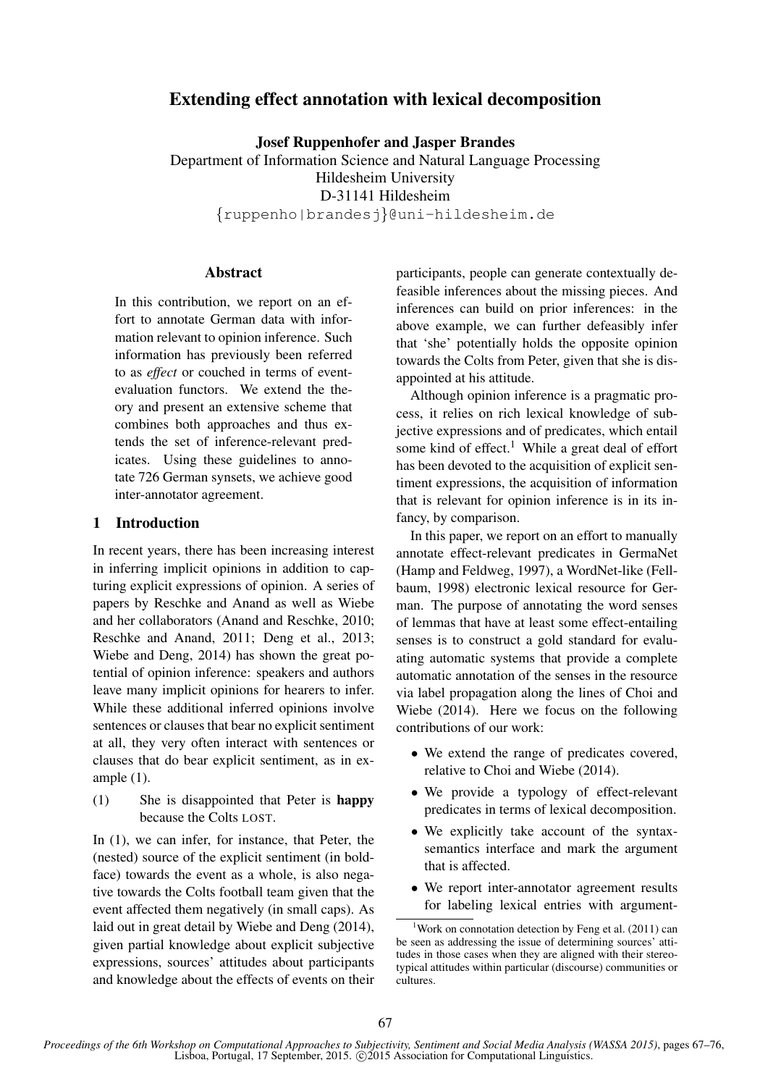# Extending effect annotation with lexical decomposition

Josef Ruppenhofer and Jasper Brandes Department of Information Science and Natural Language Processing Hildesheim University D-31141 Hildesheim {ruppenho|brandesj}@uni-hildesheim.de

# Abstract

In this contribution, we report on an effort to annotate German data with information relevant to opinion inference. Such information has previously been referred to as *effect* or couched in terms of eventevaluation functors. We extend the theory and present an extensive scheme that combines both approaches and thus extends the set of inference-relevant predicates. Using these guidelines to annotate 726 German synsets, we achieve good inter-annotator agreement.

### 1 Introduction

In recent years, there has been increasing interest in inferring implicit opinions in addition to capturing explicit expressions of opinion. A series of papers by Reschke and Anand as well as Wiebe and her collaborators (Anand and Reschke, 2010; Reschke and Anand, 2011; Deng et al., 2013; Wiebe and Deng, 2014) has shown the great potential of opinion inference: speakers and authors leave many implicit opinions for hearers to infer. While these additional inferred opinions involve sentences or clauses that bear no explicit sentiment at all, they very often interact with sentences or clauses that do bear explicit sentiment, as in example (1).

(1) She is disappointed that Peter is happy because the Colts LOST.

In (1), we can infer, for instance, that Peter, the (nested) source of the explicit sentiment (in boldface) towards the event as a whole, is also negative towards the Colts football team given that the event affected them negatively (in small caps). As laid out in great detail by Wiebe and Deng (2014), given partial knowledge about explicit subjective expressions, sources' attitudes about participants and knowledge about the effects of events on their participants, people can generate contextually defeasible inferences about the missing pieces. And inferences can build on prior inferences: in the above example, we can further defeasibly infer that 'she' potentially holds the opposite opinion towards the Colts from Peter, given that she is disappointed at his attitude.

Although opinion inference is a pragmatic process, it relies on rich lexical knowledge of subjective expressions and of predicates, which entail some kind of effect.<sup>1</sup> While a great deal of effort has been devoted to the acquisition of explicit sentiment expressions, the acquisition of information that is relevant for opinion inference is in its infancy, by comparison.

In this paper, we report on an effort to manually annotate effect-relevant predicates in GermaNet (Hamp and Feldweg, 1997), a WordNet-like (Fellbaum, 1998) electronic lexical resource for German. The purpose of annotating the word senses of lemmas that have at least some effect-entailing senses is to construct a gold standard for evaluating automatic systems that provide a complete automatic annotation of the senses in the resource via label propagation along the lines of Choi and Wiebe (2014). Here we focus on the following contributions of our work:

- We extend the range of predicates covered, relative to Choi and Wiebe (2014).
- We provide a typology of effect-relevant predicates in terms of lexical decomposition.
- We explicitly take account of the syntaxsemantics interface and mark the argument that is affected.
- We report inter-annotator agreement results for labeling lexical entries with argument-

<sup>&</sup>lt;sup>1</sup>Work on connotation detection by Feng et al.  $(2011)$  can be seen as addressing the issue of determining sources' attitudes in those cases when they are aligned with their stereotypical attitudes within particular (discourse) communities or cultures.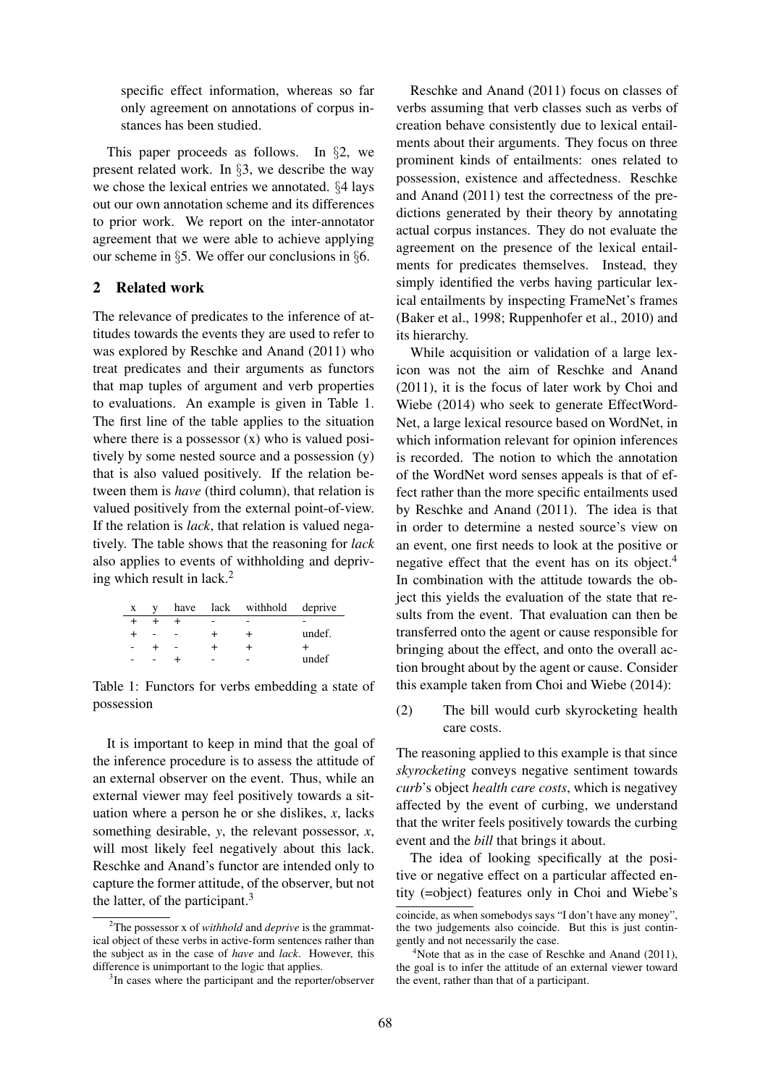specific effect information, whereas so far only agreement on annotations of corpus instances has been studied.

This paper proceeds as follows. In §2, we present related work. In §3, we describe the way we chose the lexical entries we annotated. §4 lays out our own annotation scheme and its differences to prior work. We report on the inter-annotator agreement that we were able to achieve applying our scheme in §5. We offer our conclusions in §6.

# 2 Related work

The relevance of predicates to the inference of attitudes towards the events they are used to refer to was explored by Reschke and Anand (2011) who treat predicates and their arguments as functors that map tuples of argument and verb properties to evaluations. An example is given in Table 1. The first line of the table applies to the situation where there is a possessor (x) who is valued positively by some nested source and a possession (y) that is also valued positively. If the relation between them is *have* (third column), that relation is valued positively from the external point-of-view. If the relation is *lack*, that relation is valued negatively. The table shows that the reasoning for *lack* also applies to events of withholding and depriving which result in lack. $^{2}$ 

| $\mathbf{X}$ |  | have lack withhold deprive |        |
|--------------|--|----------------------------|--------|
|              |  |                            |        |
|              |  |                            | undef. |
|              |  |                            |        |
|              |  |                            | undef  |

Table 1: Functors for verbs embedding a state of possession

It is important to keep in mind that the goal of the inference procedure is to assess the attitude of an external observer on the event. Thus, while an external viewer may feel positively towards a situation where a person he or she dislikes, *x*, lacks something desirable, *y*, the relevant possessor, *x*, will most likely feel negatively about this lack. Reschke and Anand's functor are intended only to capture the former attitude, of the observer, but not the latter, of the participant. $3$ 

Reschke and Anand (2011) focus on classes of verbs assuming that verb classes such as verbs of creation behave consistently due to lexical entailments about their arguments. They focus on three prominent kinds of entailments: ones related to possession, existence and affectedness. Reschke and Anand (2011) test the correctness of the predictions generated by their theory by annotating actual corpus instances. They do not evaluate the agreement on the presence of the lexical entailments for predicates themselves. Instead, they simply identified the verbs having particular lexical entailments by inspecting FrameNet's frames (Baker et al., 1998; Ruppenhofer et al., 2010) and its hierarchy.

While acquisition or validation of a large lexicon was not the aim of Reschke and Anand (2011), it is the focus of later work by Choi and Wiebe (2014) who seek to generate EffectWord-Net, a large lexical resource based on WordNet, in which information relevant for opinion inferences is recorded. The notion to which the annotation of the WordNet word senses appeals is that of effect rather than the more specific entailments used by Reschke and Anand (2011). The idea is that in order to determine a nested source's view on an event, one first needs to look at the positive or negative effect that the event has on its object.<sup>4</sup> In combination with the attitude towards the object this yields the evaluation of the state that results from the event. That evaluation can then be transferred onto the agent or cause responsible for bringing about the effect, and onto the overall action brought about by the agent or cause. Consider this example taken from Choi and Wiebe (2014):

(2) The bill would curb skyrocketing health care costs.

The reasoning applied to this example is that since *skyrocketing* conveys negative sentiment towards *curb*'s object *health care costs*, which is negativey affected by the event of curbing, we understand that the writer feels positively towards the curbing event and the *bill* that brings it about.

The idea of looking specifically at the positive or negative effect on a particular affected entity (=object) features only in Choi and Wiebe's

<sup>2</sup>The possessor x of *withhold* and *deprive* is the grammatical object of these verbs in active-form sentences rather than the subject as in the case of *have* and *lack*. However, this difference is unimportant to the logic that applies.

<sup>&</sup>lt;sup>3</sup>In cases where the participant and the reporter/observer

coincide, as when somebodys says "I don't have any money", the two judgements also coincide. But this is just contingently and not necessarily the case.

<sup>&</sup>lt;sup>4</sup>Note that as in the case of Reschke and Anand  $(2011)$ , the goal is to infer the attitude of an external viewer toward the event, rather than that of a participant.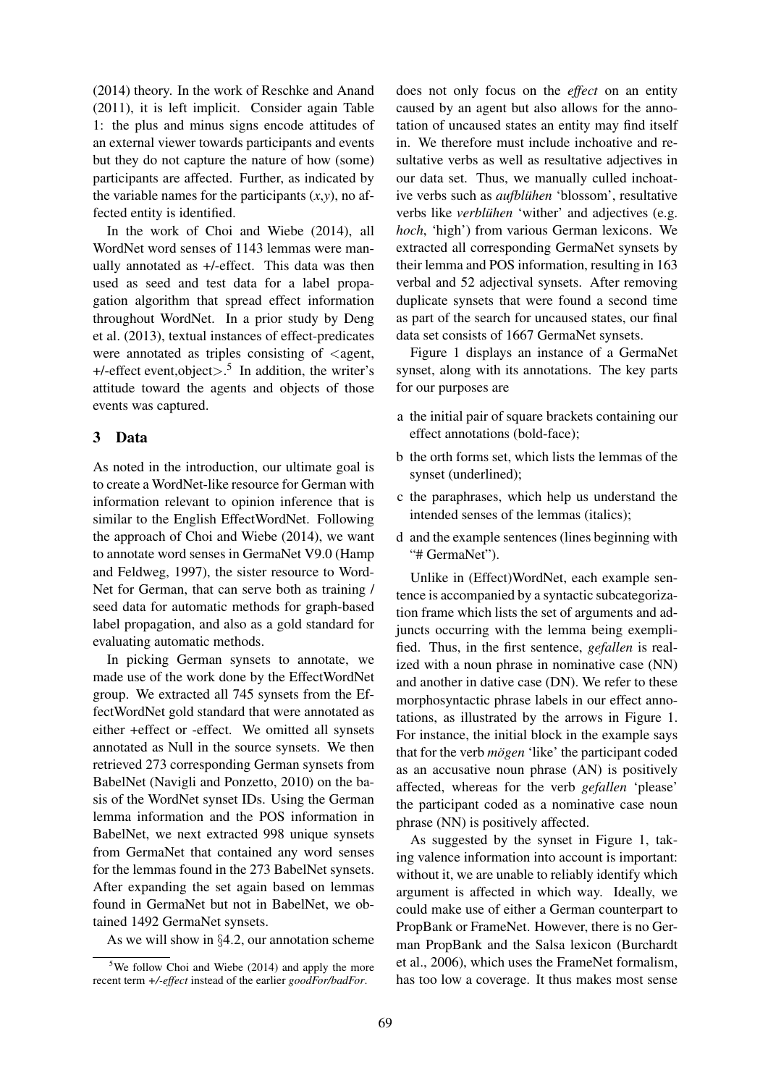(2014) theory. In the work of Reschke and Anand (2011), it is left implicit. Consider again Table 1: the plus and minus signs encode attitudes of an external viewer towards participants and events but they do not capture the nature of how (some) participants are affected. Further, as indicated by the variable names for the participants  $(x, y)$ , no affected entity is identified.

In the work of Choi and Wiebe (2014), all WordNet word senses of 1143 lemmas were manually annotated as +/-effect. This data was then used as seed and test data for a label propagation algorithm that spread effect information throughout WordNet. In a prior study by Deng et al. (2013), textual instances of effect-predicates were annotated as triples consisting of  $\leq$  agent,  $+/-$ effect event,object $> .^5$  In addition, the writer's attitude toward the agents and objects of those events was captured.

# 3 Data

As noted in the introduction, our ultimate goal is to create a WordNet-like resource for German with information relevant to opinion inference that is similar to the English EffectWordNet. Following the approach of Choi and Wiebe (2014), we want to annotate word senses in GermaNet V9.0 (Hamp and Feldweg, 1997), the sister resource to Word-Net for German, that can serve both as training / seed data for automatic methods for graph-based label propagation, and also as a gold standard for evaluating automatic methods.

In picking German synsets to annotate, we made use of the work done by the EffectWordNet group. We extracted all 745 synsets from the EffectWordNet gold standard that were annotated as either +effect or -effect. We omitted all synsets annotated as Null in the source synsets. We then retrieved 273 corresponding German synsets from BabelNet (Navigli and Ponzetto, 2010) on the basis of the WordNet synset IDs. Using the German lemma information and the POS information in BabelNet, we next extracted 998 unique synsets from GermaNet that contained any word senses for the lemmas found in the 273 BabelNet synsets. After expanding the set again based on lemmas found in GermaNet but not in BabelNet, we obtained 1492 GermaNet synsets.

As we will show in §4.2, our annotation scheme

does not only focus on the *effect* on an entity caused by an agent but also allows for the annotation of uncaused states an entity may find itself in. We therefore must include inchoative and resultative verbs as well as resultative adjectives in our data set. Thus, we manually culled inchoative verbs such as *aufbluhen ¨* 'blossom', resultative verbs like *verblühen* 'wither' and adjectives (e.g. *hoch*, 'high') from various German lexicons. We extracted all corresponding GermaNet synsets by their lemma and POS information, resulting in 163 verbal and 52 adjectival synsets. After removing duplicate synsets that were found a second time as part of the search for uncaused states, our final data set consists of 1667 GermaNet synsets.

Figure 1 displays an instance of a GermaNet synset, along with its annotations. The key parts for our purposes are

- a the initial pair of square brackets containing our effect annotations (bold-face);
- b the orth forms set, which lists the lemmas of the synset (underlined);
- c the paraphrases, which help us understand the intended senses of the lemmas (italics);
- d and the example sentences (lines beginning with "# GermaNet").

Unlike in (Effect)WordNet, each example sentence is accompanied by a syntactic subcategorization frame which lists the set of arguments and adjuncts occurring with the lemma being exemplified. Thus, in the first sentence, *gefallen* is realized with a noun phrase in nominative case (NN) and another in dative case (DN). We refer to these morphosyntactic phrase labels in our effect annotations, as illustrated by the arrows in Figure 1. For instance, the initial block in the example says that for the verb *mögen* 'like' the participant coded as an accusative noun phrase (AN) is positively affected, whereas for the verb *gefallen* 'please' the participant coded as a nominative case noun phrase (NN) is positively affected.

As suggested by the synset in Figure 1, taking valence information into account is important: without it, we are unable to reliably identify which argument is affected in which way. Ideally, we could make use of either a German counterpart to PropBank or FrameNet. However, there is no German PropBank and the Salsa lexicon (Burchardt et al., 2006), which uses the FrameNet formalism, has too low a coverage. It thus makes most sense

 $5$ We follow Choi and Wiebe (2014) and apply the more recent term *+/-effect* instead of the earlier *goodFor/badFor*.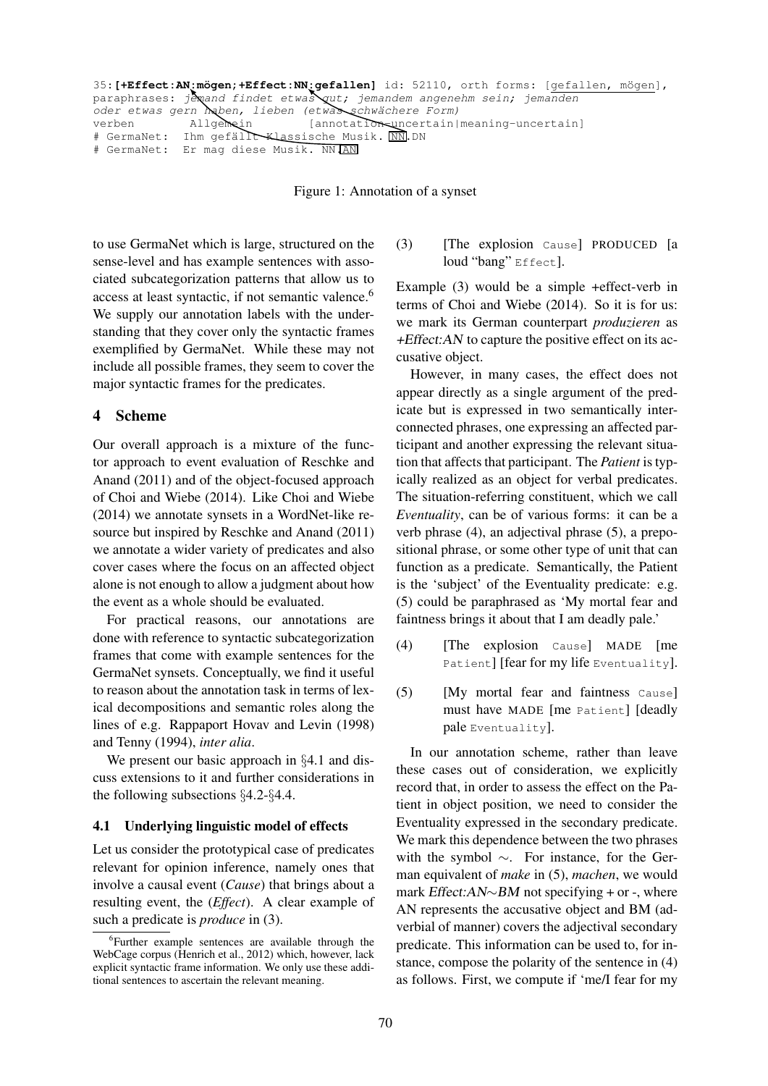```
35: [+Effect:AN:mögen;+Effect:NN:gefallen] id: 52110, orth forms: [gefallen, mögen],
paraphrases: jewand findet etwas gut; jemandem angenehm sein; jemanden
oder etwas gern haben, lieben (etwas schwächere Form)
verben Allgemein [annotation-uncertain|meaning-uncertain]
# GermaNet: Ihm gefällt Klassische Musik. NN.DN
# GermaNet: Er mag diese Musik. NN.AN
```
Figure 1: Annotation of a synset

to use GermaNet which is large, structured on the sense-level and has example sentences with associated subcategorization patterns that allow us to access at least syntactic, if not semantic valence.<sup>6</sup> We supply our annotation labels with the understanding that they cover only the syntactic frames exemplified by GermaNet. While these may not include all possible frames, they seem to cover the major syntactic frames for the predicates.

#### 4 Scheme

Our overall approach is a mixture of the functor approach to event evaluation of Reschke and Anand (2011) and of the object-focused approach of Choi and Wiebe (2014). Like Choi and Wiebe (2014) we annotate synsets in a WordNet-like resource but inspired by Reschke and Anand (2011) we annotate a wider variety of predicates and also cover cases where the focus on an affected object alone is not enough to allow a judgment about how the event as a whole should be evaluated.

For practical reasons, our annotations are done with reference to syntactic subcategorization frames that come with example sentences for the GermaNet synsets. Conceptually, we find it useful to reason about the annotation task in terms of lexical decompositions and semantic roles along the lines of e.g. Rappaport Hovav and Levin (1998) and Tenny (1994), *inter alia*.

We present our basic approach in §4.1 and discuss extensions to it and further considerations in the following subsections §4.2-§4.4.

#### 4.1 Underlying linguistic model of effects

Let us consider the prototypical case of predicates relevant for opinion inference, namely ones that involve a causal event (*Cause*) that brings about a resulting event, the (*Effect*). A clear example of such a predicate is *produce* in (3).

### (3) [The explosion Cause] PRODUCED [a loud "bang" Effect].

Example (3) would be a simple +effect-verb in terms of Choi and Wiebe (2014). So it is for us: we mark its German counterpart *produzieren* as  $+Effect: AN$  to capture the positive effect on its accusative object.

However, in many cases, the effect does not appear directly as a single argument of the predicate but is expressed in two semantically interconnected phrases, one expressing an affected participant and another expressing the relevant situation that affects that participant. The *Patient* is typically realized as an object for verbal predicates. The situation-referring constituent, which we call *Eventuality*, can be of various forms: it can be a verb phrase (4), an adjectival phrase (5), a prepositional phrase, or some other type of unit that can function as a predicate. Semantically, the Patient is the 'subject' of the Eventuality predicate: e.g. (5) could be paraphrased as 'My mortal fear and faintness brings it about that I am deadly pale.'

- (4) [The explosion Cause] MADE [me Patient] [fear for my life Eventuality].
- (5) [My mortal fear and faintness Cause] must have MADE [me Patient] [deadly pale Eventuality].

In our annotation scheme, rather than leave these cases out of consideration, we explicitly record that, in order to assess the effect on the Patient in object position, we need to consider the Eventuality expressed in the secondary predicate. We mark this dependence between the two phrases with the symbol ∼. For instance, for the German equivalent of *make* in (5), *machen*, we would mark Effect:AN∼BM not specifying + or -, where AN represents the accusative object and BM (adverbial of manner) covers the adjectival secondary predicate. This information can be used to, for instance, compose the polarity of the sentence in (4) as follows. First, we compute if 'me/I fear for my

<sup>6</sup> Further example sentences are available through the WebCage corpus (Henrich et al., 2012) which, however, lack explicit syntactic frame information. We only use these additional sentences to ascertain the relevant meaning.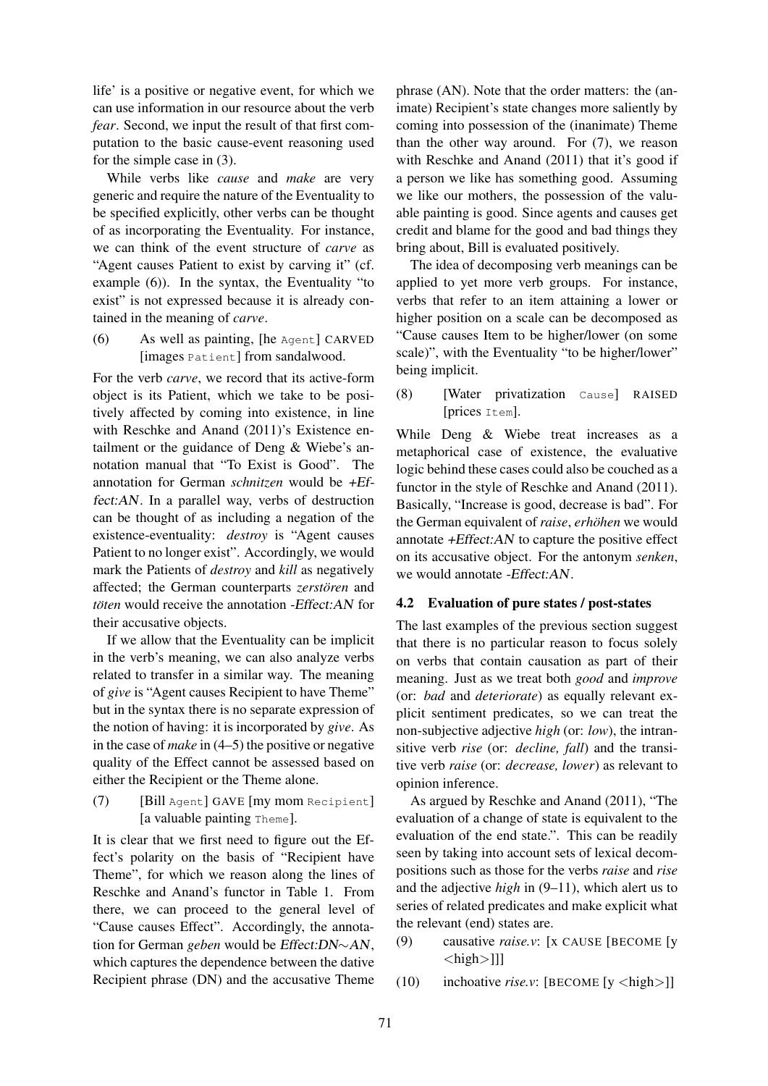life' is a positive or negative event, for which we can use information in our resource about the verb *fear*. Second, we input the result of that first computation to the basic cause-event reasoning used for the simple case in (3).

While verbs like *cause* and *make* are very generic and require the nature of the Eventuality to be specified explicitly, other verbs can be thought of as incorporating the Eventuality. For instance, we can think of the event structure of *carve* as "Agent causes Patient to exist by carving it" (cf. example (6)). In the syntax, the Eventuality "to exist" is not expressed because it is already contained in the meaning of *carve*.

(6) As well as painting, [he Agent] CARVED [images Patient] from sandalwood.

For the verb *carve*, we record that its active-form object is its Patient, which we take to be positively affected by coming into existence, in line with Reschke and Anand (2011)'s Existence entailment or the guidance of Deng & Wiebe's annotation manual that "To Exist is Good". The annotation for German *schnitzen* would be +Effect:AN. In a parallel way, verbs of destruction can be thought of as including a negation of the existence-eventuality: *destroy* is "Agent causes Patient to no longer exist". Accordingly, we would mark the Patients of *destroy* and *kill* as negatively affected: the German counterparts *zerstören* and *töten* would receive the annotation -*Effect:AN* for their accusative objects.

If we allow that the Eventuality can be implicit in the verb's meaning, we can also analyze verbs related to transfer in a similar way. The meaning of *give* is "Agent causes Recipient to have Theme" but in the syntax there is no separate expression of the notion of having: it is incorporated by *give*. As in the case of *make* in (4–5) the positive or negative quality of the Effect cannot be assessed based on either the Recipient or the Theme alone.

(7) [Bill Agent] GAVE [my mom Recipient] [a valuable painting Theme].

It is clear that we first need to figure out the Effect's polarity on the basis of "Recipient have Theme", for which we reason along the lines of Reschke and Anand's functor in Table 1. From there, we can proceed to the general level of "Cause causes Effect". Accordingly, the annotation for German *geben* would be Effect:DN∼AN, which captures the dependence between the dative Recipient phrase (DN) and the accusative Theme phrase (AN). Note that the order matters: the (animate) Recipient's state changes more saliently by coming into possession of the (inanimate) Theme than the other way around. For (7), we reason with Reschke and Anand (2011) that it's good if a person we like has something good. Assuming we like our mothers, the possession of the valuable painting is good. Since agents and causes get credit and blame for the good and bad things they bring about, Bill is evaluated positively.

The idea of decomposing verb meanings can be applied to yet more verb groups. For instance, verbs that refer to an item attaining a lower or higher position on a scale can be decomposed as "Cause causes Item to be higher/lower (on some scale)", with the Eventuality "to be higher/lower" being implicit.

(8) [Water privatization Cause] RAISED [prices Item].

While Deng & Wiebe treat increases as a metaphorical case of existence, the evaluative logic behind these cases could also be couched as a functor in the style of Reschke and Anand (2011). Basically, "Increase is good, decrease is bad". For the German equivalent of *raise*, erhöhen we would annotate +Effect:AN to capture the positive effect on its accusative object. For the antonym *senken*, we would annotate -Effect:AN.

### 4.2 Evaluation of pure states / post-states

The last examples of the previous section suggest that there is no particular reason to focus solely on verbs that contain causation as part of their meaning. Just as we treat both *good* and *improve* (or: *bad* and *deteriorate*) as equally relevant explicit sentiment predicates, so we can treat the non-subjective adjective *high* (or: *low*), the intransitive verb *rise* (or: *decline, fall*) and the transitive verb *raise* (or: *decrease, lower*) as relevant to opinion inference.

As argued by Reschke and Anand (2011), "The evaluation of a change of state is equivalent to the evaluation of the end state.". This can be readily seen by taking into account sets of lexical decompositions such as those for the verbs *raise* and *rise* and the adjective *high* in (9–11), which alert us to series of related predicates and make explicit what the relevant (end) states are.

- (9) causative *raise.v*: [x CAUSE [BECOME [y  $\langle$ high $>$ ]]]
- (10) inchoative *rise.v*: [BECOME [y <high>]]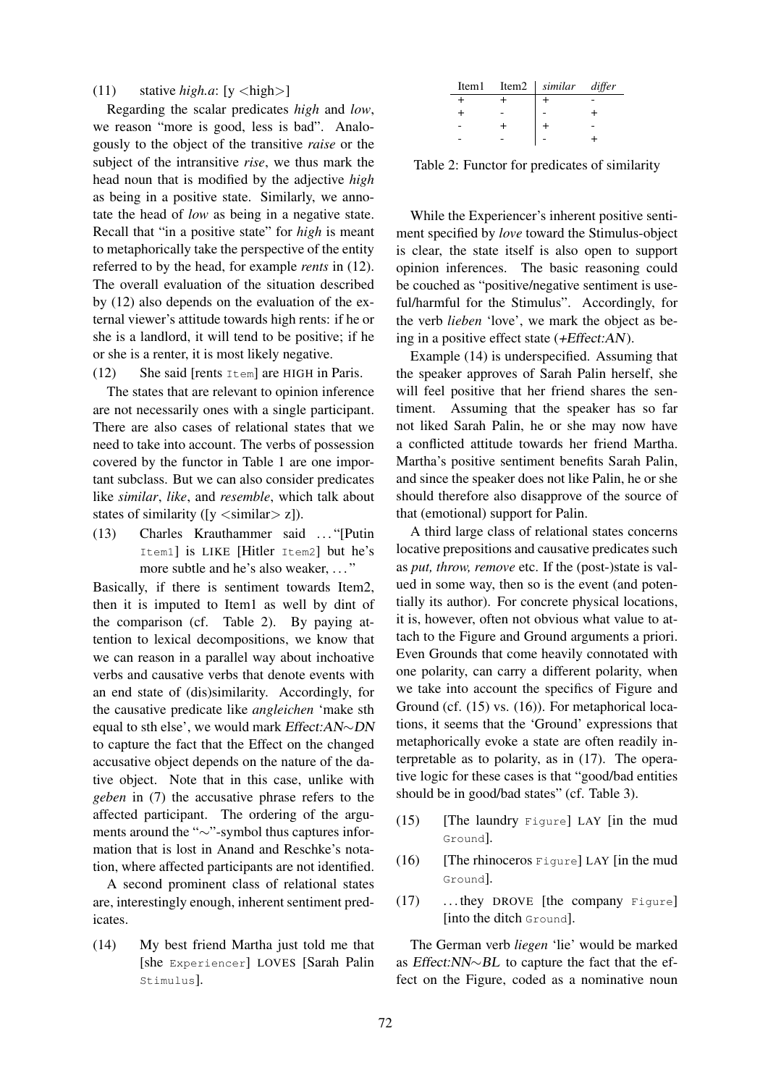# (11) stative  $high.a$ : [y  $\langle high \rangle$ ]

Regarding the scalar predicates *high* and *low*, we reason "more is good, less is bad". Analogously to the object of the transitive *raise* or the subject of the intransitive *rise*, we thus mark the head noun that is modified by the adjective *high* as being in a positive state. Similarly, we annotate the head of *low* as being in a negative state. Recall that "in a positive state" for *high* is meant to metaphorically take the perspective of the entity referred to by the head, for example *rents* in (12). The overall evaluation of the situation described by (12) also depends on the evaluation of the external viewer's attitude towards high rents: if he or she is a landlord, it will tend to be positive; if he or she is a renter, it is most likely negative.

(12) She said [rents Item] are HIGH in Paris.

The states that are relevant to opinion inference are not necessarily ones with a single participant. There are also cases of relational states that we need to take into account. The verbs of possession covered by the functor in Table 1 are one important subclass. But we can also consider predicates like *similar*, *like*, and *resemble*, which talk about states of similarity ( $[y \text{ } < \text{similar} > z]$ ).

(13) Charles Krauthammer said . . . "[Putin Item1] is LIKE [Hitler Item2] but he's more subtle and he's also weaker, ..."

Basically, if there is sentiment towards Item2, then it is imputed to Item1 as well by dint of the comparison (cf. Table 2). By paying attention to lexical decompositions, we know that we can reason in a parallel way about inchoative verbs and causative verbs that denote events with an end state of (dis)similarity. Accordingly, for the causative predicate like *angleichen* 'make sth equal to sth else', we would mark Effect:AN∼DN to capture the fact that the Effect on the changed accusative object depends on the nature of the dative object. Note that in this case, unlike with *geben* in (7) the accusative phrase refers to the affected participant. The ordering of the arguments around the "∼"-symbol thus captures information that is lost in Anand and Reschke's notation, where affected participants are not identified.

A second prominent class of relational states are, interestingly enough, inherent sentiment predicates.

(14) My best friend Martha just told me that [she Experiencer] LOVES [Sarah Palin Stimulus].

| Item1 | Item2   similar differ |  |
|-------|------------------------|--|
|       |                        |  |
|       |                        |  |
|       |                        |  |
|       |                        |  |

Table 2: Functor for predicates of similarity

While the Experiencer's inherent positive sentiment specified by *love* toward the Stimulus-object is clear, the state itself is also open to support opinion inferences. The basic reasoning could be couched as "positive/negative sentiment is useful/harmful for the Stimulus". Accordingly, for the verb *lieben* 'love', we mark the object as being in a positive effect state (+Effect:AN).

Example (14) is underspecified. Assuming that the speaker approves of Sarah Palin herself, she will feel positive that her friend shares the sentiment. Assuming that the speaker has so far not liked Sarah Palin, he or she may now have a conflicted attitude towards her friend Martha. Martha's positive sentiment benefits Sarah Palin, and since the speaker does not like Palin, he or she should therefore also disapprove of the source of that (emotional) support for Palin.

A third large class of relational states concerns locative prepositions and causative predicates such as *put, throw, remove* etc. If the (post-)state is valued in some way, then so is the event (and potentially its author). For concrete physical locations, it is, however, often not obvious what value to attach to the Figure and Ground arguments a priori. Even Grounds that come heavily connotated with one polarity, can carry a different polarity, when we take into account the specifics of Figure and Ground (cf. (15) vs. (16)). For metaphorical locations, it seems that the 'Ground' expressions that metaphorically evoke a state are often readily interpretable as to polarity, as in (17). The operative logic for these cases is that "good/bad entities should be in good/bad states" (cf. Table 3).

- (15) [The laundry Figure] LAY [in the mud Ground].
- $(16)$  [The rhinoceros Figure] LAY [in the mud Ground].
- (17) . . . they DROVE [the company Figure] [into the ditch Ground].

The German verb *liegen* 'lie' would be marked as Effect:NN∼BL to capture the fact that the effect on the Figure, coded as a nominative noun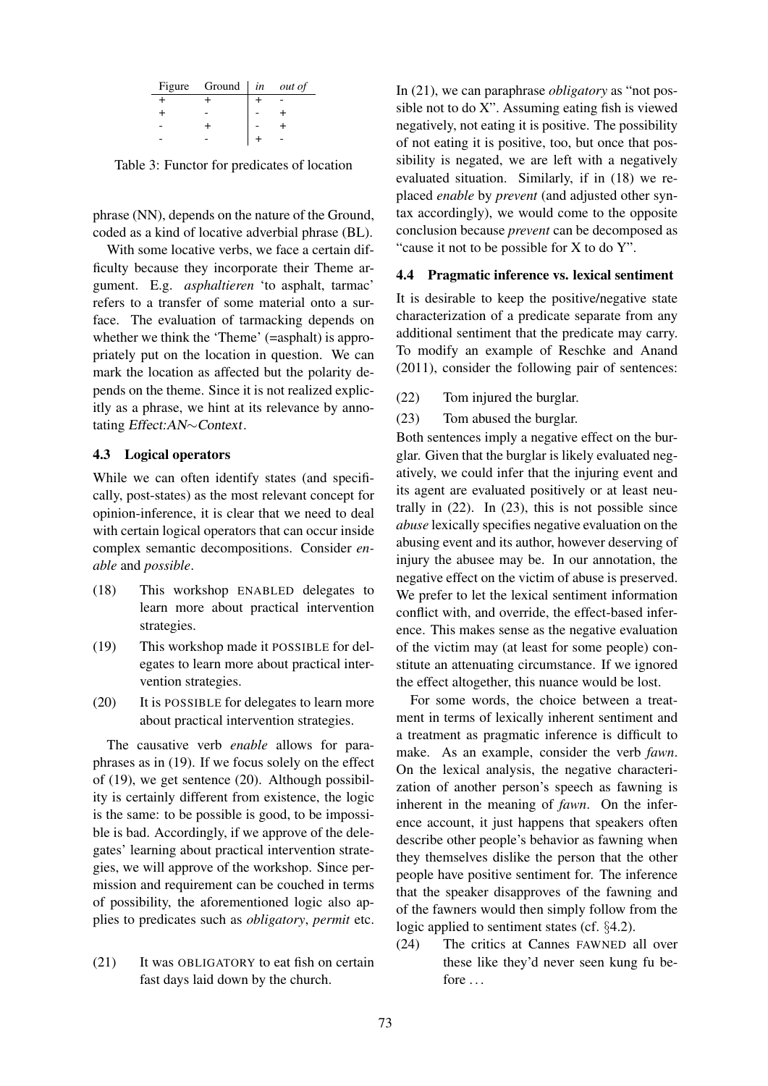| Figure Ground $\int$ <i>in out of</i> |  |
|---------------------------------------|--|
|                                       |  |
|                                       |  |
|                                       |  |
|                                       |  |

Table 3: Functor for predicates of location

phrase (NN), depends on the nature of the Ground, coded as a kind of locative adverbial phrase (BL).

With some locative verbs, we face a certain difficulty because they incorporate their Theme argument. E.g. *asphaltieren* 'to asphalt, tarmac' refers to a transfer of some material onto a surface. The evaluation of tarmacking depends on whether we think the 'Theme' (=asphalt) is appropriately put on the location in question. We can mark the location as affected but the polarity depends on the theme. Since it is not realized explicitly as a phrase, we hint at its relevance by annotating Effect:AN∼Context.

#### 4.3 Logical operators

While we can often identify states (and specifically, post-states) as the most relevant concept for opinion-inference, it is clear that we need to deal with certain logical operators that can occur inside complex semantic decompositions. Consider *enable* and *possible*.

- (18) This workshop ENABLED delegates to learn more about practical intervention strategies.
- (19) This workshop made it POSSIBLE for delegates to learn more about practical intervention strategies.
- (20) It is POSSIBLE for delegates to learn more about practical intervention strategies.

The causative verb *enable* allows for paraphrases as in (19). If we focus solely on the effect of (19), we get sentence (20). Although possibility is certainly different from existence, the logic is the same: to be possible is good, to be impossible is bad. Accordingly, if we approve of the delegates' learning about practical intervention strategies, we will approve of the workshop. Since permission and requirement can be couched in terms of possibility, the aforementioned logic also applies to predicates such as *obligatory*, *permit* etc.

(21) It was OBLIGATORY to eat fish on certain fast days laid down by the church.

In (21), we can paraphrase *obligatory* as "not possible not to do X". Assuming eating fish is viewed negatively, not eating it is positive. The possibility of not eating it is positive, too, but once that possibility is negated, we are left with a negatively evaluated situation. Similarly, if in (18) we replaced *enable* by *prevent* (and adjusted other syntax accordingly), we would come to the opposite conclusion because *prevent* can be decomposed as "cause it not to be possible for X to do Y".

### 4.4 Pragmatic inference vs. lexical sentiment

It is desirable to keep the positive/negative state characterization of a predicate separate from any additional sentiment that the predicate may carry. To modify an example of Reschke and Anand (2011), consider the following pair of sentences:

(22) Tom injured the burglar.

#### (23) Tom abused the burglar.

Both sentences imply a negative effect on the burglar. Given that the burglar is likely evaluated negatively, we could infer that the injuring event and its agent are evaluated positively or at least neutrally in (22). In (23), this is not possible since *abuse* lexically specifies negative evaluation on the abusing event and its author, however deserving of injury the abusee may be. In our annotation, the negative effect on the victim of abuse is preserved. We prefer to let the lexical sentiment information conflict with, and override, the effect-based inference. This makes sense as the negative evaluation of the victim may (at least for some people) constitute an attenuating circumstance. If we ignored the effect altogether, this nuance would be lost.

For some words, the choice between a treatment in terms of lexically inherent sentiment and a treatment as pragmatic inference is difficult to make. As an example, consider the verb *fawn*. On the lexical analysis, the negative characterization of another person's speech as fawning is inherent in the meaning of *fawn*. On the inference account, it just happens that speakers often describe other people's behavior as fawning when they themselves dislike the person that the other people have positive sentiment for. The inference that the speaker disapproves of the fawning and of the fawners would then simply follow from the logic applied to sentiment states (cf. §4.2).

(24) The critics at Cannes FAWNED all over these like they'd never seen kung fu before . . .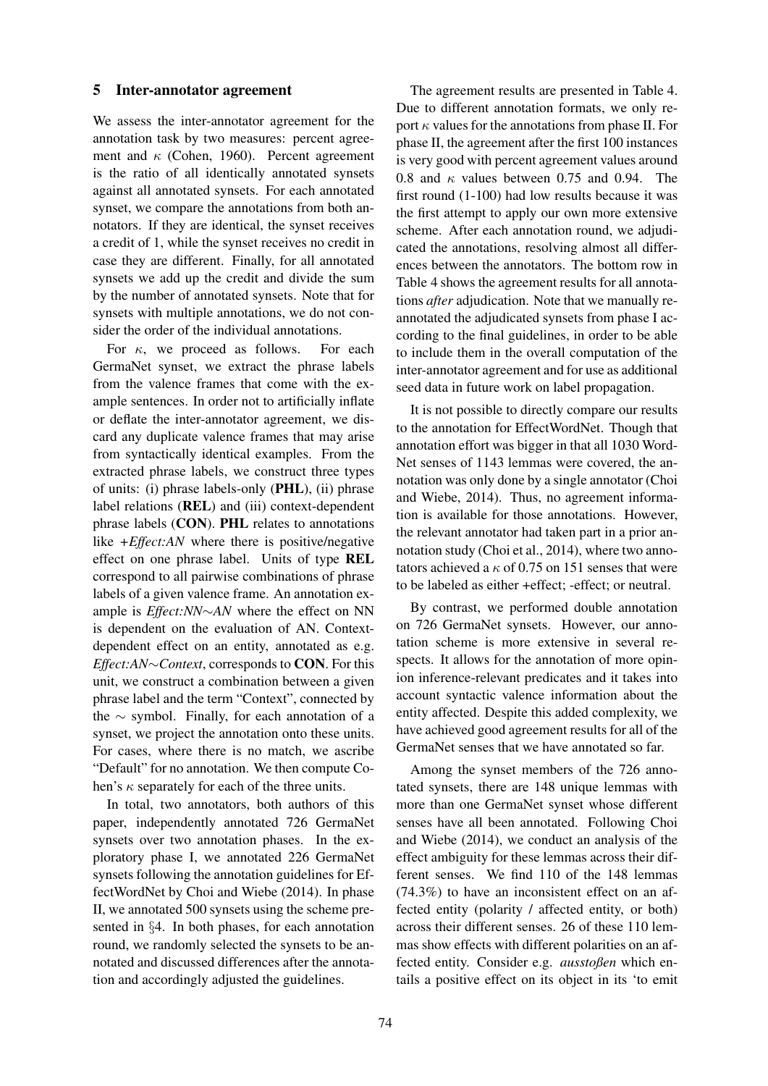#### 5 Inter-annotator agreement

We assess the inter-annotator agreement for the annotation task by two measures: percent agreement and  $\kappa$  (Cohen, 1960). Percent agreement is the ratio of all identically annotated synsets against all annotated synsets. For each annotated synset, we compare the annotations from both annotators. If they are identical, the synset receives a credit of 1, while the synset receives no credit in case they are different. Finally, for all annotated synsets we add up the credit and divide the sum by the number of annotated synsets. Note that for synsets with multiple annotations, we do not consider the order of the individual annotations.

For  $\kappa$ , we proceed as follows. For each GermaNet synset, we extract the phrase labels from the valence frames that come with the example sentences. In order not to artificially inflate or deflate the inter-annotator agreement, we discard any duplicate valence frames that may arise from syntactically identical examples. From the extracted phrase labels, we construct three types of units: (i) phrase labels-only (PHL), (ii) phrase label relations (REL) and (iii) context-dependent phrase labels (CON). PHL relates to annotations like *+Effect:AN* where there is positive/negative effect on one phrase label. Units of type REL correspond to all pairwise combinations of phrase labels of a given valence frame. An annotation example is *Effect:NN*∼*AN* where the effect on NN is dependent on the evaluation of AN. Contextdependent effect on an entity, annotated as e.g. *Effect:AN*∼*Context*, corresponds to CON. For this unit, we construct a combination between a given phrase label and the term "Context", connected by the ∼ symbol. Finally, for each annotation of a synset, we project the annotation onto these units. For cases, where there is no match, we ascribe "Default" for no annotation. We then compute Cohen's  $\kappa$  separately for each of the three units.

In total, two annotators, both authors of this paper, independently annotated 726 GermaNet synsets over two annotation phases. In the exploratory phase I, we annotated 226 GermaNet synsets following the annotation guidelines for EffectWordNet by Choi and Wiebe (2014). In phase II, we annotated 500 synsets using the scheme presented in §4. In both phases, for each annotation round, we randomly selected the synsets to be annotated and discussed differences after the annotation and accordingly adjusted the guidelines.

The agreement results are presented in Table 4. Due to different annotation formats, we only report  $\kappa$  values for the annotations from phase II. For phase II, the agreement after the first 100 instances is very good with percent agreement values around 0.8 and  $\kappa$  values between 0.75 and 0.94. The first round (1-100) had low results because it was the first attempt to apply our own more extensive scheme. After each annotation round, we adjudicated the annotations, resolving almost all differences between the annotators. The bottom row in Table 4 shows the agreement results for all annotations *after* adjudication. Note that we manually reannotated the adjudicated synsets from phase I according to the final guidelines, in order to be able to include them in the overall computation of the inter-annotator agreement and for use as additional seed data in future work on label propagation.

It is not possible to directly compare our results to the annotation for EffectWordNet. Though that annotation effort was bigger in that all 1030 Word-Net senses of 1143 lemmas were covered, the annotation was only done by a single annotator (Choi and Wiebe, 2014). Thus, no agreement information is available for those annotations. However, the relevant annotator had taken part in a prior annotation study (Choi et al., 2014), where two annotators achieved a  $\kappa$  of 0.75 on 151 senses that were to be labeled as either +effect; -effect; or neutral.

By contrast, we performed double annotation on 726 GermaNet synsets. However, our annotation scheme is more extensive in several respects. It allows for the annotation of more opinion inference-relevant predicates and it takes into account syntactic valence information about the entity affected. Despite this added complexity, we have achieved good agreement results for all of the GermaNet senses that we have annotated so far.

Among the synset members of the 726 annotated synsets, there are 148 unique lemmas with more than one GermaNet synset whose different senses have all been annotated. Following Choi and Wiebe (2014), we conduct an analysis of the effect ambiguity for these lemmas across their different senses. We find 110 of the 148 lemmas (74.3%) to have an inconsistent effect on an affected entity (polarity / affected entity, or both) across their different senses. 26 of these 110 lemmas show effects with different polarities on an affected entity. Consider e.g. *ausstoßen* which entails a positive effect on its object in its 'to emit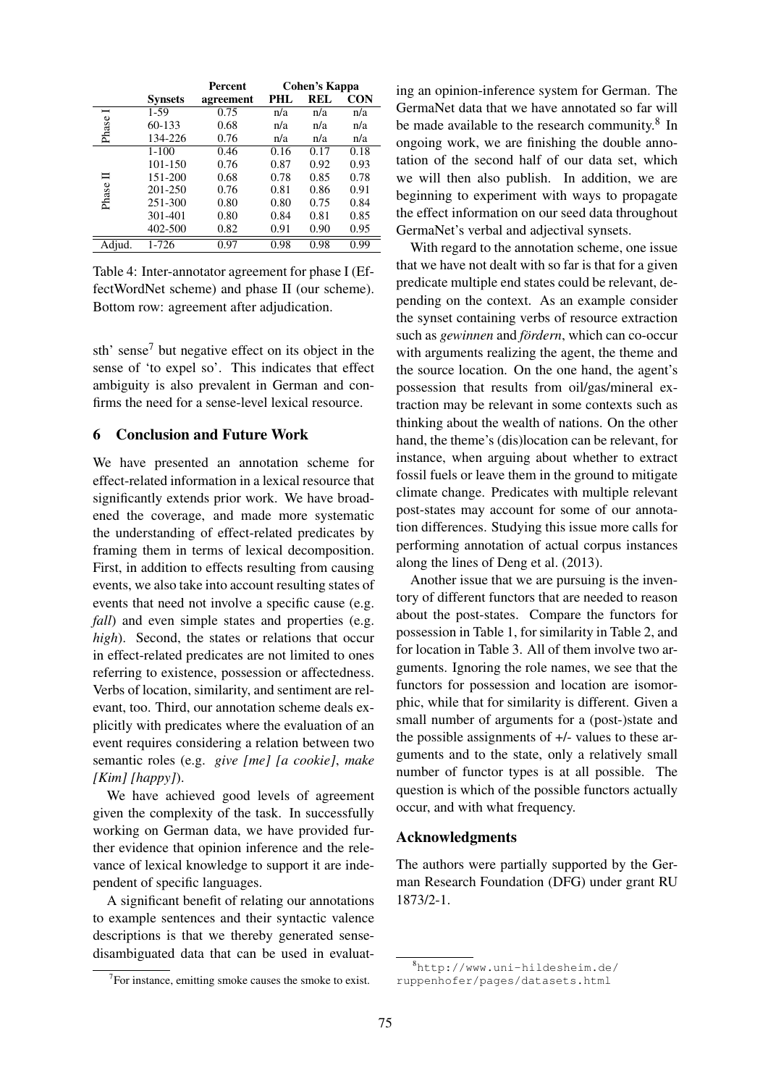|        |                | Percent   | Cohen's Kappa |      |            |
|--------|----------------|-----------|---------------|------|------------|
|        | <b>Synsets</b> | agreement | PHI.          | REL  | <b>CON</b> |
| Ī      | $1-59$         | 0.75      | n/a           | n/a  | n/a        |
| Phase  | 60-133         | 0.68      | n/a           | n/a  | n/a        |
|        | 134-226        | 0.76      | n/a           | n/a  | n/a        |
|        | $1 - 100$      | 0.46      | 0.16          | 0.17 | 0.18       |
|        | 101-150        | 0.76      | 0.87          | 0.92 | 0.93       |
|        | 151-200        | 0.68      | 0.78          | 0.85 | 0.78       |
|        | 201-250        | 0.76      | 0.81          | 0.86 | 0.91       |
| Phase  | 251-300        | 0.80      | 0.80          | 0.75 | 0.84       |
|        | 301-401        | 0.80      | 0.84          | 0.81 | 0.85       |
|        | 402-500        | 0.82      | 0.91          | 0.90 | 0.95       |
| Adjud. | 1-726          | 0.97      | 0.98          | 0.98 | 0.99       |

Table 4: Inter-annotator agreement for phase I (EffectWordNet scheme) and phase II (our scheme). Bottom row: agreement after adjudication.

sth' sense<sup>7</sup> but negative effect on its object in the sense of 'to expel so'. This indicates that effect ambiguity is also prevalent in German and confirms the need for a sense-level lexical resource.

# 6 Conclusion and Future Work

We have presented an annotation scheme for effect-related information in a lexical resource that significantly extends prior work. We have broadened the coverage, and made more systematic the understanding of effect-related predicates by framing them in terms of lexical decomposition. First, in addition to effects resulting from causing events, we also take into account resulting states of events that need not involve a specific cause (e.g. *fall*) and even simple states and properties (e.g. *high*). Second, the states or relations that occur in effect-related predicates are not limited to ones referring to existence, possession or affectedness. Verbs of location, similarity, and sentiment are relevant, too. Third, our annotation scheme deals explicitly with predicates where the evaluation of an event requires considering a relation between two semantic roles (e.g. *give [me] [a cookie]*, *make [Kim] [happy]*).

We have achieved good levels of agreement given the complexity of the task. In successfully working on German data, we have provided further evidence that opinion inference and the relevance of lexical knowledge to support it are independent of specific languages.

A significant benefit of relating our annotations to example sentences and their syntactic valence descriptions is that we thereby generated sensedisambiguated data that can be used in evaluat-

ing an opinion-inference system for German. The GermaNet data that we have annotated so far will be made available to the research community.<sup>8</sup> In ongoing work, we are finishing the double annotation of the second half of our data set, which we will then also publish. In addition, we are beginning to experiment with ways to propagate the effect information on our seed data throughout GermaNet's verbal and adjectival synsets.

With regard to the annotation scheme, one issue that we have not dealt with so far is that for a given predicate multiple end states could be relevant, depending on the context. As an example consider the synset containing verbs of resource extraction such as *gewinnen* and *fördern*, which can co-occur with arguments realizing the agent, the theme and the source location. On the one hand, the agent's possession that results from oil/gas/mineral extraction may be relevant in some contexts such as thinking about the wealth of nations. On the other hand, the theme's (dis)location can be relevant, for instance, when arguing about whether to extract fossil fuels or leave them in the ground to mitigate climate change. Predicates with multiple relevant post-states may account for some of our annotation differences. Studying this issue more calls for performing annotation of actual corpus instances along the lines of Deng et al. (2013).

Another issue that we are pursuing is the inventory of different functors that are needed to reason about the post-states. Compare the functors for possession in Table 1, for similarity in Table 2, and for location in Table 3. All of them involve two arguments. Ignoring the role names, we see that the functors for possession and location are isomorphic, while that for similarity is different. Given a small number of arguments for a (post-)state and the possible assignments of +/- values to these arguments and to the state, only a relatively small number of functor types is at all possible. The question is which of the possible functors actually occur, and with what frequency.

### Acknowledgments

The authors were partially supported by the German Research Foundation (DFG) under grant RU 1873/2-1.

<sup>&</sup>lt;sup>7</sup>For instance, emitting smoke causes the smoke to exist.

<sup>8</sup>http://www.uni-hildesheim.de/ ruppenhofer/pages/datasets.html